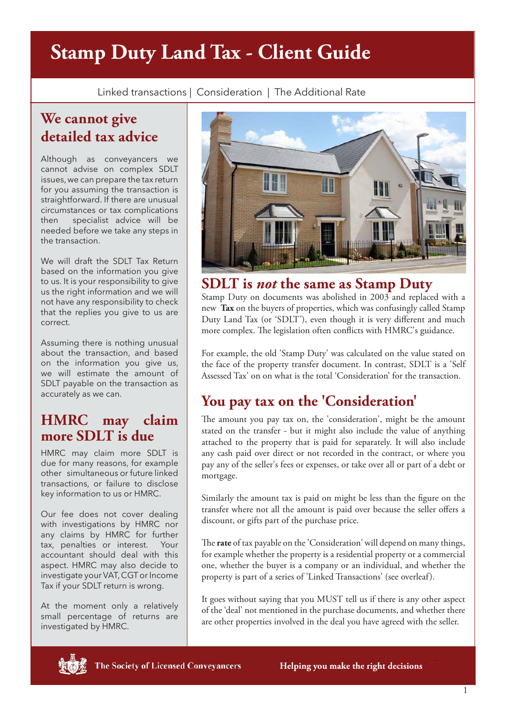# **Stamp Duty Land Tax - Client Guide**

Linked transactions | Consideration | The Additional Rate

# **We cannot give detailed tax advice**

Although as conveyancers we cannot advise on complex SDLT issues, we can prepare the tax return for you assuming the transaction is straightforward. If there are unusual circumstances or tax complications then specialist advice will be needed before we take any steps in the transaction.

We will draft the SDLT Tax Return based on the information you give to us. It is your responsibility to give us the right information and we will not have any responsibility to check that the replies you give to us are correct.

Assuming there is nothing unusual about the transaction, and based on the information you give us, we will estimate the amount of SDLT payable on the transaction as accurately as we can.

### **HMRC may claim more SDLT is due**

HMRC may claim more SDLT is due for many reasons, for example other simultaneous or future linked transactions, or failure to disclose key information to us or HMRC.

Our fee does not cover dealing with investigations by HMRC nor any claims by HMRC for further tax, penalties or interest. Your accountant should deal with this aspect. HMRC may also decide to investigate your VAT, CGT or Income Tax if your SDLT return is wrong.

At the moment only a relatively small percentage of returns are investigated by HMRC.



### **SDLT is** *not* **the same as Stamp Duty**

Stamp Duty on documents was abolished in 2003 and replaced with a new **Tax** on the buyers of properties, which was confusingly called Stamp Duty Land Tax (or 'SDLT'), even though it is very different and much more complex. The legislation often conflicts with HMRC's guidance.

For example, the old 'Stamp Duty' was calculated on the value stated on the face of the property transfer document. In contrast, SDLT is a 'Self Assessed Tax' on on what is the total 'Consideration' for the transaction.

# **You pay tax on the 'Consideration'**

The amount you pay tax on, the 'consideration', might be the amount stated on the transfer - but it might also include the value of anything attached to the property that is paid for separately. It will also include any cash paid over direct or not recorded in the contract, or where you pay any of the seller's fees or expenses, or take over all or part of a debt or mortgage.

Similarly the amount tax is paid on might be less than the figure on the transfer where not all the amount is paid over because the seller offers a discount, or gifts part of the purchase price.

The **rate** of tax payable on the 'Consideration' will depend on many things, for example whether the property is a residential property or a commercial one, whether the buyer is a company or an individual, and whether the property is part of a series of 'Linked Transactions' (see overleaf).

It goes without saying that you MUST tell us if there is any other aspect of the 'deal' not mentioned in the purchase documents, and whether there are other properties involved in the deal you have agreed with the seller.